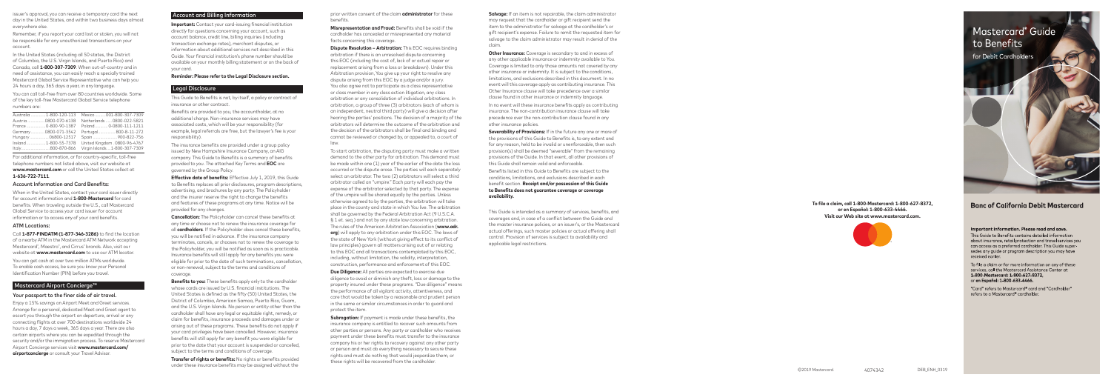#### Account and Billing Information Account and Billing Information

**Important:** Contact your card-issuing financial institution **Important:** Contact your card-issuing financial institution directly for questions concerning your account, such as directly for questions concerning your account, such as account balance, credit line, billing inquiries (including account balance, credit line, billing inquiries (including transaction exchange rates), merchant disputes, or transaction exchange rates), merchant disputes, or information about additional services not described in this information about additional services not described in this Guide. Your financial institution's phone number should be Guide. Your financial institution's phone number should be available on your monthly billing statement or on the back of available on your monthly billing statement or on the back of your card. your card.

#### **Reminder: Please refer to the Legal Disclosure section. Reminder: Please refer to the Legal Disclosure section.**

#### Legal Disclosure Legal Disclosure

This Guide to Benefits is not, by itself, a policy or contract of This Guide to Benefits is not, by itself, a policy or contract of insurance or other contract. insurance or other contract.

Benefits are provided to you, the accountholder, at no Benefits are provided to you, the accountholder, at no additional charge. Non-insurance services may have additional charge. Non-insurance services may have associated costs, which will be your responsibility (for associated costs, which will be your responsibility (for example, legal referrals are free, but the lawyer's fee is your example, legal referrals are free, but the lawyer's fee is your responsibility). responsibility).

The insurance benefits are provided under a group policy The insurance benefits are provided under a group policy issued by New Hampshire Insurance Company, an AIG issued by New Hampshire Insurance Company, an AIG company. This Guide to Benefits is a summary of benefits company. This Guide to Benefits is a summary of benefits provided to you. The attached Key Terms and **EOC** are provided to you. The attached Key Terms and **EOC** are governed by the Group Policy. governed by the Group Policy.

**Effective date of benefits:** Effective July 1, 2019, this Guide **Effective date of benefits:** Effective July 1, 2019, this Guide to Benefits replaces all prior disclosures, program descriptions, to Benefits replaces all prior disclosures, program descriptions, advertising, and brochures by any party. The Policyholder advertising, and brochures by any party. The Policyholder and the insurer reserve the right to change the benefits and the insurer reserve the right to change the benefits and features of these programs at any time. Notice will be and features of these programs at any time. Notice will be provided for any changes. provided for any changes.

**Cancellation:** The Policyholder can cancel these benefits at **Cancellation:** The Policyholder can cancel these benefits at any time or choose not to renew the insurance coverage for any time or choose not to renew the insurance coverage for all **cardholders**. If the Policyholder does cancel these benefits, all **cardholders**. If the Policyholder does cancel these benefits, you will be notified in advance. If the insurance company you will be notified in advance. If the insurance company terminates, cancels, or chooses not to renew the coverage to terminates, cancels, or chooses not to renew the coverage to the Policyholder, you will be notified as soon as is practicable. the Policyholder, you will be notified as soon as is practicable. Insurance benefits will still apply for any benefits you were Insurance benefits will still apply for any benefits you were eligible for prior to the date of such terminations, cancellation, eligible for prior to the date of such terminations, cancellation, or non-renewal, subject to the terms and conditions of or non-renewal, subject to the terms and conditions of coverage. coverage.

**Salvage:** If an item is not repairable, the claim administrator may request that the cardholder or gift recipient send the item to the administrator for salvage at the cardholder's or gift recipient's expense. Failure to remit the requested item for salvage to the claim administrator may result in denial of the claim.

**Benefits to you:** These benefits apply only to the cardholder **Benefits to you:** These benefits apply only to the cardholder whose cards are issued by U.S. financial institutions. The whose cards are issued by U.S. financial institutions. The United States is defined as the fifty (50) United States, the United States is defined as the fifty (50) United States, the District of Columbia, American Samoa, Puerto Rico, Guam, District of Columbia, American Samoa, Puerto Rico, Guam, and the U.S. Virgin Islands. No person or entity other than the and the U.S. Virgin Islands. No person or entity other than the cardholder shall have any legal or equitable right, remedy, or cardholder shall have any legal or equitable right, remedy, or claim for benefits, insurance proceeds and damages under or claim for benefits, insurance proceeds and damages under or arising out of these programs. These benefits do not apply if arising out of these programs. These benefits do not apply if your card privileges have been cancelled. However, insurance your card privileges have been cancelled. However, insurance benefits will still apply for any benefit you were eligible for benefits will still apply for any benefit you were eligible for prior to the date that your account is suspended or cancelled, prior to the date that your account is suspended or cancelled, subject to the terms and conditions of coverage. subject to the terms and conditions of coverage.

**Other Insurance:** Coverage is secondary to and in excess of any other applicable insurance or indemnity available to You. Coverage is limited to only those amounts not covered by any other insurance or indemnity. It is subject to the conditions, limitations, and exclusions described in this document. In no event will this coverage apply as contributing insurance. This Other Insurance clause will take precedence over a similar clause found in other insurance or indemnity language. In no event will these insurance benefits apply as contributing insurance. The non-contribution insurance clause will take

**Transfer of rights or benefits:** No rights or benefits provided **Transfer of rights or benefits:** No rights or benefits provided under these insurance benefits may be assigned without the under these insurance benefits may be assigned without the

prior written consent of the claim **administrator** for these prior written consent of the claim **administrator** for these benefits.

**Misrepresentation and Fraud:** Benefits shall be void if the **Misrepresentation and Fraud:** Benefits shall be void if the cardholder has concealed or misrepresented any material cardholder has concealed or misrepresented any material facts concerning this coverage. facts concerning this coverage.

> precedence over the non-contribution clause found in any other insurance policies.

**Severability of Provisions:** If in the future any one or more of the provisions of this Guide to Benefits is, to any extent and for any reason, held to be invalid or unenforceable, then such provision(s) shall be deemed "severable" from the remaining provisions of the Guide. In that event, all other provisions of this Guide shall remain valid and enforceable. Benefits listed in this Guide to Benefits are subject to the conditions, limitations, and exclusions described in each benefit section. **Receipt and/or possession of this Guide to Benefits does not guarantee coverage or coverage availability.**

**Dispute Resolution – Arbitration:** This EOC requires binding **Dispute Resolution – Arbitration:** This EOC requires binding arbitration if there is an unresolved dispute concerning arbitration if there is an unresolved dispute concerning this EOC (including the cost of, lack of or actual repair or this EOC (including the cost of, lack of or actual repair or replacement arising from a loss or breakdown). Under this replacement arising from a loss or breakdown). Under this Arbitration provision, You give up your right to resolve any Arbitration provision, You give up your right to resolve any dispute arising from this EOC by a judge and/or a jury. dispute arising from this EOC by a judge and/or a jury. You also agree not to participate as a class representative You also agree not to participate as a class representative or class member in any class action litigation, any class or class member in any class action litigation, any class arbitration or any consolidation of individual arbitrations. In arbitration or any consolidation of individual arbitrations. In arbitration, a group of three (3) arbitrators (each of whom is arbitration, a group of three (3) arbitrators (each of whom is an independent, neutral third party) will give a decision after an independent, neutral third party) will give a decision after hearing the parties' positions. The decision of a majority of the hearing the parties' positions. The decision of a majority of the arbitrators will determine the outcome of the arbitration and arbitrators will determine the outcome of the arbitration and the decision of the arbitrators shall be final and binding and the decision of the arbitrators shall be final and binding and cannot be reviewed or changed by, or appealed to, a court of cannot be reviewed or changed by, or appealed to, a court of law.

> This Guide is intended as a summary of services, benefits, and coverages and, in case of a conflict between the Guide and the master insurance policies, or an issuer's, or the Mastercard actual offerings, such master policies or actual offering shall control. Provision of services is subject to availability and applicable legal restrictions.

To start arbitration, the disputing party must make a written To start arbitration, the disputing party must make a written demand to the other party for arbitration. This demand must demand to the other party for arbitration. This demand must be made within one (1) year of the earlier of the date the loss be made within one (1) year of the earlier of the date the loss occurred or the dispute arose. The parties will each separately occurred or the dispute arose. The parties will each separately select an arbitrator. The two (2) arbitrators will select a third select an arbitrator. The two (2) arbitrators will select a third arbitrator called an "umpire." Each party will each pay the arbitrator called an "umpire." Each party will each pay the expense of the arbitrator selected by that party. The expense expense of the arbitrator selected by that party. The expense of the umpire will be shared equally by the parties. Unless of the umpire will be shared equally by the parties. Unless otherwise agreed to by the parties, the arbitration will take otherwise agreed to by the parties, the arbitration will take place in the county and state in which You live. The arbitration place in the county and state in which You live. The arbitration shall be governed by the Federal Arbitration Act (9 U.S.C.A. shall be governed by the Federal Arbitration Act (9 U.S.C.A. § 1 et. seq.) and not by any state law concerning arbitration. § 1 et. seq.) and not by any state law concerning arbitration. The rules of the American Arbitration Association (**www.adr.** The rules of the American Arbitration Association (**www.adr. org**) will apply to any arbitration under this EOC. The laws of **org**) will apply to any arbitration under this EOC. The laws of the state of New York (without giving effect to its conflict of the state of New York (without giving effect to its conflict of law principles) govern all matters arising out of or relating law principles) govern all matters arising out of or relating to this EOC and all transactions contemplated by this EOC, to this EOC and all transactions contemplated by this EOC, including, without limitation, the validity, interpretation, including, without limitation, the validity, interpretation, construction, performance and enforcement of this EOC. construction, performance and enforcement of this EOC.

**Due Diligence:** All parties are expected to exercise due **Due Diligence:** All parties are expected to exercise due diligence to avoid or diminish any theft, loss or damage to the diligence to avoid or diminish any theft, loss or damage to the property insured under these programs. "Due diligence" means property insured under these programs. "Due diligence" means the performance of all vigilant activity, attentiveness, and the performance of all vigilant activity, attentiveness, and care that would be taken by a reasonable and prudent person care that would be taken by a reasonable and prudent person in the same or similar circumstances in order to guard and in the same or similar circumstances in order to guard and protect the item. protect the item.

**Subrogation:** If payment is made under these benefits, the **Subrogation:** If payment is made under these benefits, the insurance company is entitled to recover such amounts from insurance company is entitled to recover such amounts from other parties or persons. Any party or cardholder who receives other parties or persons. Any party or cardholder who receives payment under these benefits must transfer to the insurance payment under these benefits must transfer to the insurance company his or her rights to recovery against any other party company his or her rights to recovery against any other party or person and must do everything necessary to secure these or person and must do everything necessary to secure these rights and must do nothing that would jeopardize them, or rights and must do nothing that would jeopardize them, or these rights will be recovered from the cardholder. these rights will be recovered from the cardholder.

**To file a claim, call 1-800-Mastercard: 1-800-627-8372, or en Español: 1-800-633-4466. Visit our Web site at www.mastercard.com.**





# **Banc of California Debit Mastercard**

#### Important information. Please read and save.

This Guide to Benefits contains detailed information about insurance, retail protection and travel services you can access as a preferred cardholder. This Guide supersedes any guide or program description you may have received earlier.

To file a claim or for more information on any of these services, call the Mastercard Assistance Center at 1-800-Mastercard: 1-800-627-8372, or en Español: 1-800-633-4466.

"Card" refers to Mastercard® card and "Cardholder" refers to a Mastercard® cardholder.

issuer's approval, you can receive a temporary card the next day in the United States, and within two business days almost everywhere else.

Remember, if you report your card lost or stolen, you will not be responsible for any unauthorized transactions on your account.

In the United States (including all 50 states, the District of Columbia, the U.S. Virgin Islands, and Puerto Rico) and Canada, call **1-800-307-7309**. When out-of-country and in need of assistance, you can easily reach a specially trained Mastercard Global Service Representative who can help you 24 hours a day, 365 days a year, in any language.

You can call toll-free from over 80 countries worldwide. Some of the key toll-free Mastercard Global Service telephone numbers are:

| Australia 1-800-120-113 | Mexico 001-800-307-7309                       |
|-------------------------|-----------------------------------------------|
| Austria  0800-070-6138  | Netherlands  0800-022-5821                    |
| France  0-800-90-1387   | Poland  0-0800-111-1211                       |
| Germany 0800-071-3542   | Portugal 800-8-11-272                         |
| Hungary 06800-12517     | Spain  900-822-756                            |
|                         | United Kingdom . 0800-96-4767                 |
|                         | Italy800-870-866 Virgin Islands1-800-307-7309 |

For additional information, or for country-specific, toll-free telephone numbers not listed above, visit our website at **www.mastercard.com** or call the United States collect at **1-636-722-7111** .

#### Account Information and Card Benefits:

When in the United States, contact your card issuer directly for account information and **1-800-Mastercard** for card benefits. When traveling outside the U.S., call Mastercard Global Service to access your card issuer for account information or to access any of your card benefits.

#### ATM Locations:

Call **1-877-FINDATM (1-877-346-3286)** to find the location of a nearby ATM in the Mastercard ATM Network accepting Mastercard<sup>®</sup>, Maestro®, and Cirrus® brands. Also, visit our website at **www.mastercard.com** to use our ATM locator. You can get cash at over two million ATMs worldwide.

To enable cash access, be sure you know your Personal Identification Number (PIN) before you travel.

## Mastercard Airport Concierge™

#### Your passport to the finer side of air travel.

Enjoy a 15% savings on Airport Meet and Greet services. Arrange for a personal, dedicated Meet and Greet agent to escort you through the airport on departure, arrival or any connecting flights at over 700 destinations worldwide 24 hours a day, 7 days a week, 365 days a year. There are also certain airports where you can be expedited through the security and/or the immigration process. To reserve Mastercard Airport Concierge services visit **www.mastercard.com/ airportconcierge** or consult your Travel Advisor.